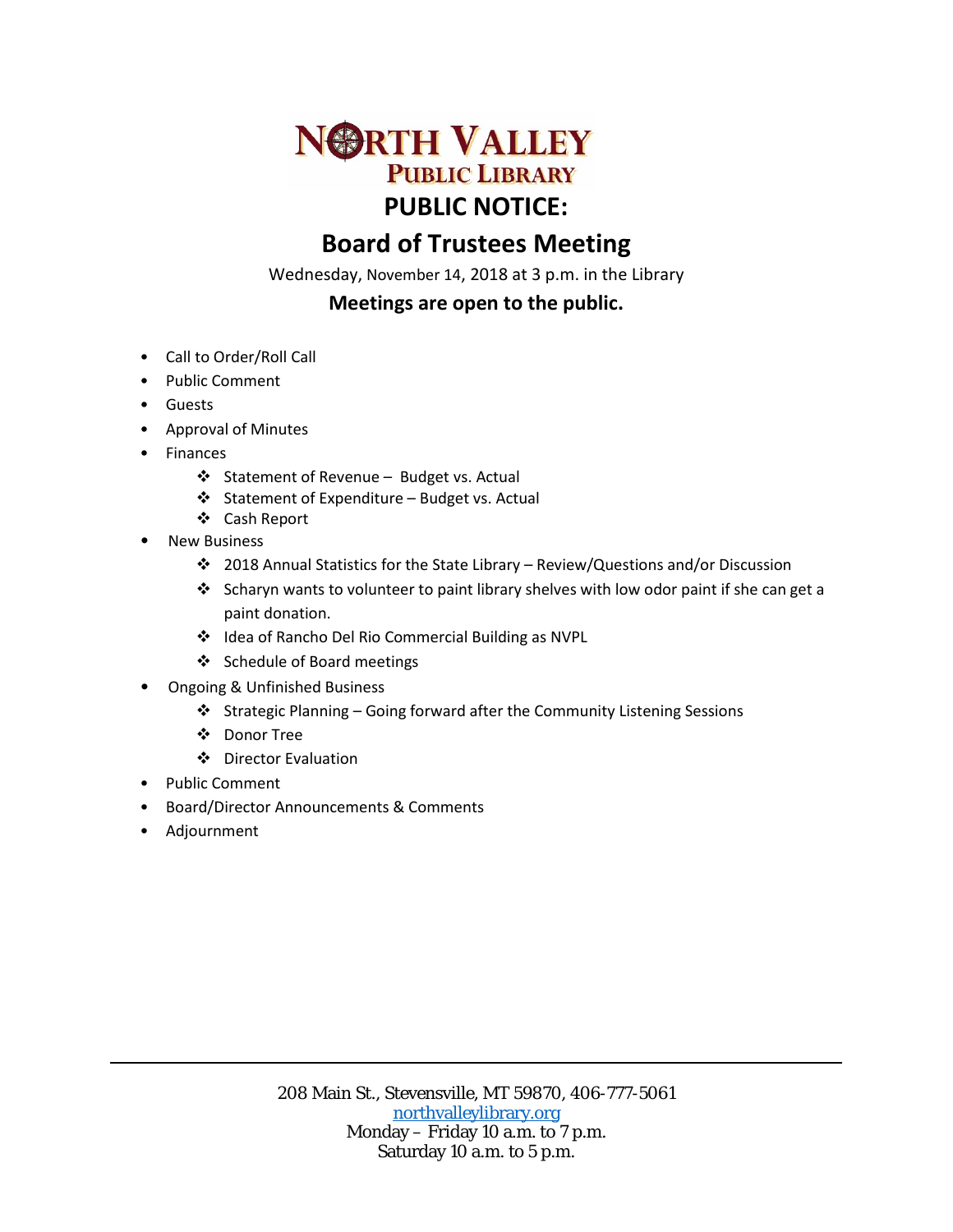

## **Board of Trustees Meeting**

Wednesday, November 14, 2018 at 3 p.m. in the Library

## **Meetings are open to the public.**

- Call to Order/Roll Call
- Public Comment
- Guests
- Approval of Minutes
- Finances
	- ❖ Statement of Revenue Budget vs. Actual
	- Statement of Expenditure Budget vs. Actual
	- Cash Report
- **New Business** 
	- 2018 Annual Statistics for the State Library Review/Questions and/or Discussion
	- Scharyn wants to volunteer to paint library shelves with low odor paint if she can get a paint donation.
	- Idea of Rancho Del Rio Commercial Building as NVPL
	- Schedule of Board meetings
- Ongoing & Unfinished Business
	- Strategic Planning Going forward after the Community Listening Sessions
	- Donor Tree
	- ❖ Director Evaluation
- Public Comment
- Board/Director Announcements & Comments
- Adjournment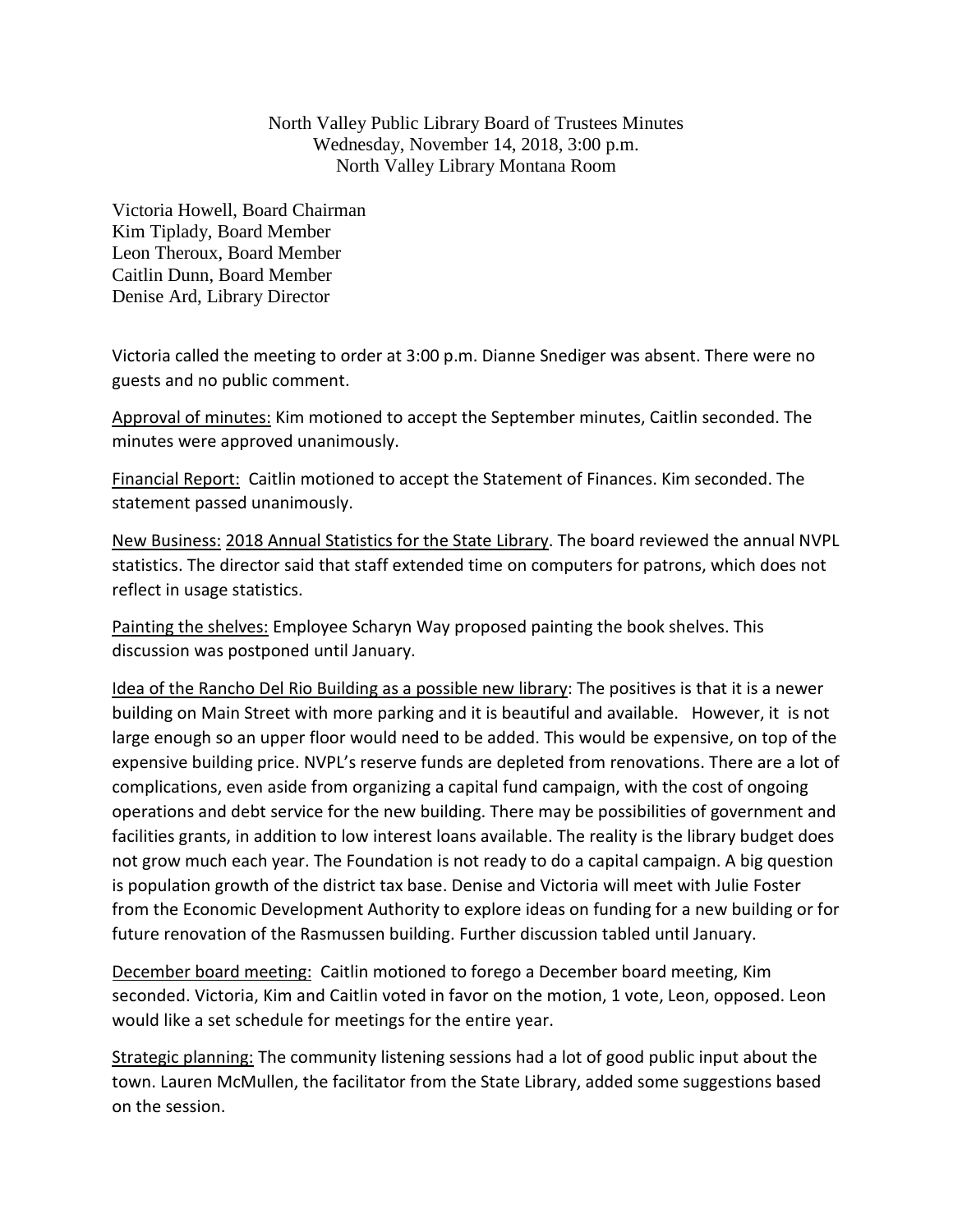North Valley Public Library Board of Trustees Minutes Wednesday, November 14, 2018, 3:00 p.m. North Valley Library Montana Room

Victoria Howell, Board Chairman Kim Tiplady, Board Member Leon Theroux, Board Member Caitlin Dunn, Board Member Denise Ard, Library Director

Victoria called the meeting to order at 3:00 p.m. Dianne Snediger was absent. There were no guests and no public comment.

Approval of minutes: Kim motioned to accept the September minutes, Caitlin seconded. The minutes were approved unanimously.

Financial Report: Caitlin motioned to accept the Statement of Finances. Kim seconded. The statement passed unanimously.

New Business: 2018 Annual Statistics for the State Library. The board reviewed the annual NVPL statistics. The director said that staff extended time on computers for patrons, which does not reflect in usage statistics.

Painting the shelves: Employee Scharyn Way proposed painting the book shelves. This discussion was postponed until January.

Idea of the Rancho Del Rio Building as a possible new library: The positives is that it is a newer building on Main Street with more parking and it is beautiful and available. However, it is not large enough so an upper floor would need to be added. This would be expensive, on top of the expensive building price. NVPL's reserve funds are depleted from renovations. There are a lot of complications, even aside from organizing a capital fund campaign, with the cost of ongoing operations and debt service for the new building. There may be possibilities of government and facilities grants, in addition to low interest loans available. The reality is the library budget does not grow much each year. The Foundation is not ready to do a capital campaign. A big question is population growth of the district tax base. Denise and Victoria will meet with Julie Foster from the Economic Development Authority to explore ideas on funding for a new building or for future renovation of the Rasmussen building. Further discussion tabled until January.

December board meeting: Caitlin motioned to forego a December board meeting, Kim seconded. Victoria, Kim and Caitlin voted in favor on the motion, 1 vote, Leon, opposed. Leon would like a set schedule for meetings for the entire year.

**Strategic planning:** The community listening sessions had a lot of good public input about the town. Lauren McMullen, the facilitator from the State Library, added some suggestions based on the session.